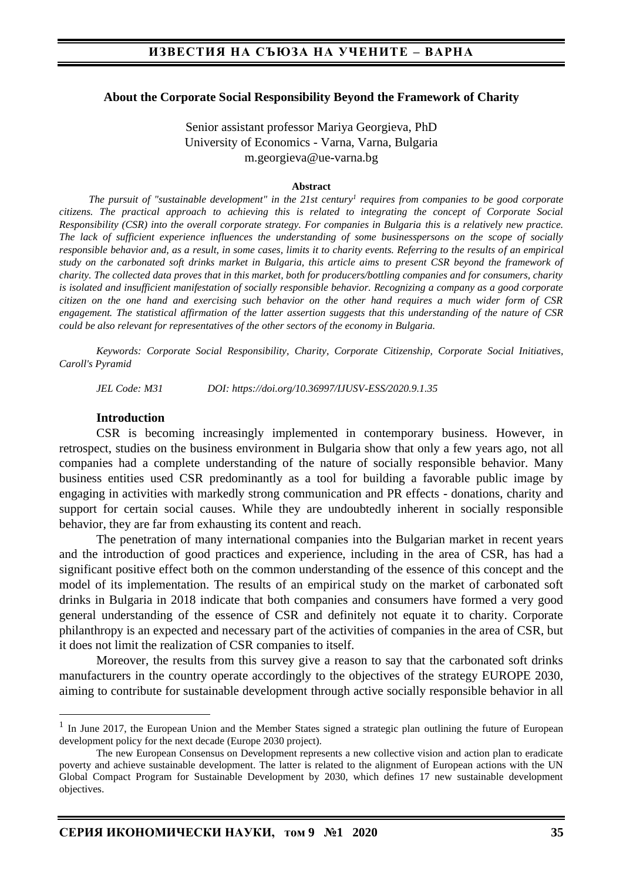#### **About the Corporate Social Responsibility Beyond the Framework of Charity**

### Senior assistant professor Mariya Georgieva, PhD University of Economics - Varna, Varna, Bulgaria m.georgieva@ue-varna.bg

#### **Abstract**

*The pursuit of "sustainable development" in the 21st century<sup>1</sup> requires from companies to be good corporate citizens. The practical approach to achieving this is related to integrating the concept of Corporate Social Responsibility (CSR) into the overall corporate strategy. For companies in Bulgaria this is a relatively new practice. The lack of sufficient experience influences the understanding of some businesspersons on the scope of socially responsible behavior and, as a result, in some cases, limits it to charity events. Referring to the results of an empirical study on the carbonated soft drinks market in Bulgaria, this article aims to present CSR beyond the framework of charity. The collected data proves that in this market, both for producers/bottling companies and for consumers, charity is isolated and insufficient manifestation of socially responsible behavior. Recognizing a company as a good corporate citizen on the one hand and exercising such behavior on the other hand requires a much wider form of CSR engagement. The statistical affirmation of the latter assertion suggests that this understanding of the nature of CSR could be also relevant for representatives of the other sectors of the economy in Bulgaria.* 

*Keywords: Corporate Social Responsibility, Charity, Corporate Citizenship, Corporate Social Initiatives, Caroll's Pyramid* 

*JEL Code: M31 DOI: https://doi.org/10.36997/IJUSV-ESS/2020.9.1.35*

#### **Introduction**

CSR is becoming increasingly implemented in contemporary business. However, in retrospect, studies on the business environment in Bulgaria show that only a few years ago, not all companies had a complete understanding of the nature of socially responsible behavior. Many business entities used CSR predominantly as a tool for building a favorable public image by engaging in activities with markedly strong communication and PR effects - donations, charity and support for certain social causes. While they are undoubtedly inherent in socially responsible behavior, they are far from exhausting its content and reach.

The penetration of many international companies into the Bulgarian market in recent years and the introduction of good practices and experience, including in the area of CSR, has had a significant positive effect both on the common understanding of the essence of this concept and the model of its implementation. The results of an empirical study on the market of carbonated soft drinks in Bulgaria in 2018 indicate that both companies and consumers have formed a very good general understanding of the essence of CSR and definitely not equate it to charity. Corporate philanthropy is an expected and necessary part of the activities of companies in the area of CSR, but it does not limit the realization of CSR companies to itself.

Moreover, the results from this survey give a reason to say that the carbonated soft drinks manufacturers in the country operate accordingly to the objectives of the strategy EUROPE 2030, aiming to contribute for sustainable development through active socially responsible behavior in all

<sup>&</sup>lt;sup>1</sup> In June 2017, the European Union and the Member States signed a strategic plan outlining the future of European development policy for the next decade (Europe 2030 project).

The new European Consensus on Development represents a new collective vision and action plan to eradicate poverty and achieve sustainable development. The latter is related to the alignment of European actions with the UN Global Compact Program for Sustainable Development by 2030, which defines 17 new sustainable development objectives.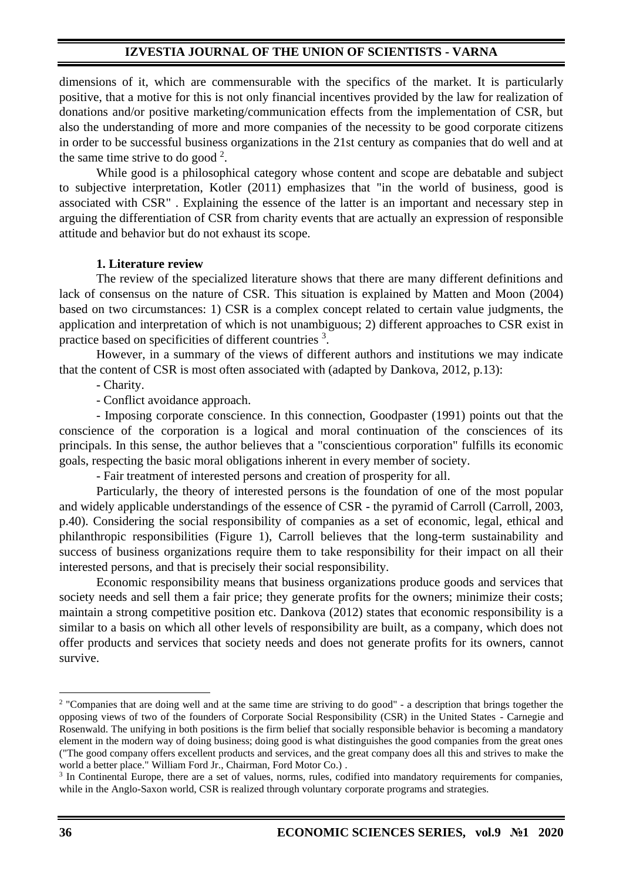dimensions of it, which are commensurable with the specifics of the market. It is particularly positive, that a motive for this is not only financial incentives provided by the law for realization of donations and/or positive marketing/communication effects from the implementation of CSR, but also the understanding of more and more companies of the necessity to be good corporate citizens in order to be successful business organizations in the 21st century as companies that do well and at the same time strive to do good  $2$ .

While good is a philosophical category whose content and scope are debatable and subject to subjective interpretation, Kotler (2011) emphasizes that "in the world of business, good is associated with CSR" . Explaining the essence of the latter is an important and necessary step in arguing the differentiation of CSR from charity events that are actually an expression of responsible attitude and behavior but do not exhaust its scope.

### **1. Literature review**

The review of the specialized literature shows that there are many different definitions and lack of consensus on the nature of CSR. This situation is explained by Matten and Moon (2004) based on two circumstances: 1) CSR is a complex concept related to certain value judgments, the application and interpretation of which is not unambiguous; 2) different approaches to CSR exist in practice based on specificities of different countries <sup>3</sup>.

However, in a summary of the views of different authors and institutions we may indicate that the content of CSR is most often associated with (adapted by Dankova, 2012, p.13):

- Charity.

- Conflict avoidance approach.

- Imposing corporate conscience. In this connection, Goodpaster (1991) points out that the conscience of the corporation is a logical and moral continuation of the consciences of its principals. In this sense, the author believes that a "conscientious corporation" fulfills its economic goals, respecting the basic moral obligations inherent in every member of society.

- Fair treatment of interested persons and creation of prosperity for all.

Particularly, the theory of interested persons is the foundation of one of the most popular and widely applicable understandings of the essence of CSR - the pyramid of Carroll (Carroll, 2003, p.40). Considering the social responsibility of companies as a set of economic, legal, ethical and philanthropic responsibilities (Figure 1), Carroll believes that the long-term sustainability and success of business organizations require them to take responsibility for their impact on all their interested persons, and that is precisely their social responsibility.

Economic responsibility means that business organizations produce goods and services that society needs and sell them a fair price; they generate profits for the owners; minimize their costs; maintain a strong competitive position etc. Dankova (2012) states that economic responsibility is a similar to a basis on which all other levels of responsibility are built, as a company, which does not offer products and services that society needs and does not generate profits for its owners, cannot survive.

<sup>&</sup>lt;sup>2</sup> "Companies that are doing well and at the same time are striving to do good" - a description that brings together the opposing views of two of the founders of Corporate Social Responsibility (CSR) in the United States - Carnegie and Rosenwald. The unifying in both positions is the firm belief that socially responsible behavior is becoming a mandatory element in the modern way of doing business; doing good is what distinguishes the good companies from the great ones ("The good company offers excellent products and services, and the great company does all this and strives to make the world a better place." William Ford Jr., Chairman, Ford Motor Co.) .

<sup>&</sup>lt;sup>3</sup> In Continental Europe, there are a set of values, norms, rules, codified into mandatory requirements for companies, while in the Anglo-Saxon world, CSR is realized through voluntary corporate programs and strategies.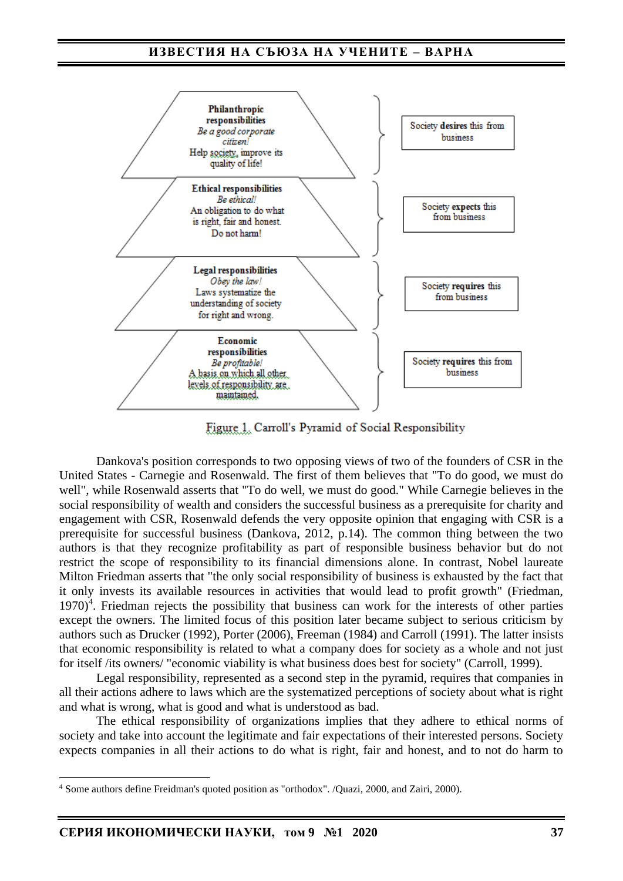

Figure 1. Carroll's Pyramid of Social Responsibility

Dankova's position corresponds to two opposing views of two of the founders of CSR in the United States - Carnegie and Rosenwald. The first of them believes that "To do good, we must do well", while Rosenwald asserts that "To do well, we must do good." While Carnegie believes in the social responsibility of wealth and considers the successful business as a prerequisite for charity and engagement with CSR, Rosenwald defends the very opposite opinion that engaging with CSR is a prerequisite for successful business (Dankova, 2012, p.14). The common thing between the two authors is that they recognize profitability as part of responsible business behavior but do not restrict the scope of responsibility to its financial dimensions alone. In contrast, Nobel laureate Milton Friedman asserts that "the only social responsibility of business is exhausted by the fact that it only invests its available resources in activities that would lead to profit growth" (Friedman, 1970)<sup>4</sup>. Friedman rejects the possibility that business can work for the interests of other parties except the owners. The limited focus of this position later became subject to serious criticism by authors such as Drucker (1992), Porter (2006), Freeman (1984) and Carroll (1991). The latter insists that economic responsibility is related to what a company does for society as a whole and not just for itself /its owners/ "economic viability is what business does best for society" (Carroll, 1999).

Legal responsibility, represented as a second step in the pyramid, requires that companies in all their actions adhere to laws which are the systematized perceptions of society about what is right and what is wrong, what is good and what is understood as bad.

The ethical responsibility of organizations implies that they adhere to ethical norms of society and take into account the legitimate and fair expectations of their interested persons. Society expects companies in all their actions to do what is right, fair and honest, and to not do harm to

<sup>4</sup> Some authors define Freidman's quoted position as "orthodox". /Quazi, 2000, and Zairi, 2000).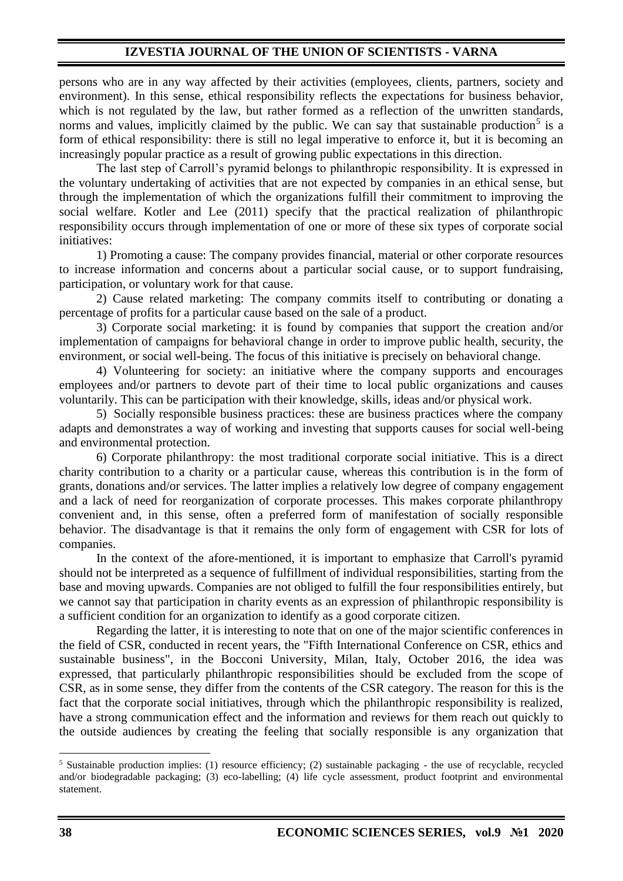persons who are in any way affected by their activities (employees, clients, partners, society and environment). In this sense, ethical responsibility reflects the expectations for business behavior, which is not regulated by the law, but rather formed as a reflection of the unwritten standards, norms and values, implicitly claimed by the public. We can say that sustainable production<sup>5</sup> is a form of ethical responsibility: there is still no legal imperative to enforce it, but it is becoming an increasingly popular practice as a result of growing public expectations in this direction.

The last step of Carroll's pyramid belongs to philanthropic responsibility. It is expressed in the voluntary undertaking of activities that are not expected by companies in an ethical sense, but through the implementation of which the organizations fulfill their commitment to improving the social welfare. Kotler and Lee (2011) specify that the practical realization of philanthropic responsibility occurs through implementation of one or more of these six types of corporate social initiatives:

1) Promoting a cause: The company provides financial, material or other corporate resources to increase information and concerns about a particular social cause, or to support fundraising, participation, or voluntary work for that cause.

2) Cause related marketing: The company commits itself to contributing or donating a percentage of profits for a particular cause based on the sale of a product.

3) Corporate social marketing: it is found by companies that support the creation and/or implementation of campaigns for behavioral change in order to improve public health, security, the environment, or social well-being. The focus of this initiative is precisely on behavioral change.

4) Volunteering for society: an initiative where the company supports and encourages employees and/or partners to devote part of their time to local public organizations and causes voluntarily. This can be participation with their knowledge, skills, ideas and/or physical work.

5) Socially responsible business practices: these are business practices where the company adapts and demonstrates a way of working and investing that supports causes for social well-being and environmental protection.

6) Corporate philanthropy: the most traditional corporate social initiative. This is a direct charity contribution to a charity or a particular cause, whereas this contribution is in the form of grants, donations and/or services. The latter implies a relatively low degree of company engagement and a lack of need for reorganization of corporate processes. This makes corporate philanthropy convenient and, in this sense, often a preferred form of manifestation of socially responsible behavior. The disadvantage is that it remains the only form of engagement with CSR for lots of companies.

In the context of the afore-mentioned, it is important to emphasize that Carroll's pyramid should not be interpreted as a sequence of fulfillment of individual responsibilities, starting from the base and moving upwards. Companies are not obliged to fulfill the four responsibilities entirely, but we cannot say that participation in charity events as an expression of philanthropic responsibility is a sufficient condition for an organization to identify as a good corporate citizen.

Regarding the latter, it is interesting to note that on one of the major scientific conferences in the field of CSR, conducted in recent years, the "Fifth International Conference on CSR, ethics and sustainable business", in the Bocconi University, Milan, Italy, October 2016, the idea was expressed, that particularly philanthropic responsibilities should be excluded from the scope of CSR, as in some sense, they differ from the contents of the CSR category. The reason for this is the fact that the corporate social initiatives, through which the philanthropic responsibility is realized, have a strong communication effect and the information and reviews for them reach out quickly to the outside audiences by creating the feeling that socially responsible is any organization that

<sup>5</sup> Sustainable production implies: (1) resource efficiency; (2) sustainable packaging - the use of recyclable, recycled and/or biodegradable packaging; (3) eco-labelling; (4) life cycle assessment, product footprint and environmental statement.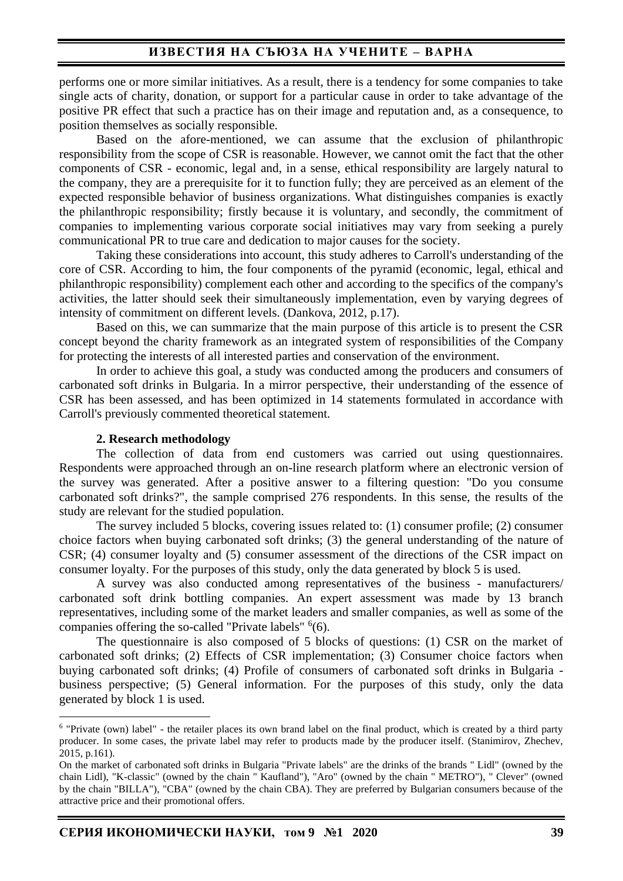performs one or more similar initiatives. As a result, there is a tendency for some companies to take single acts of charity, donation, or support for a particular cause in order to take advantage of the positive PR effect that such a practice has on their image and reputation and, as a consequence, to position themselves as socially responsible.

Based on the afore-mentioned, we can assume that the exclusion of philanthropic responsibility from the scope of CSR is reasonable. However, we cannot omit the fact that the other components of CSR - economic, legal and, in a sense, ethical responsibility are largely natural to the company, they are a prerequisite for it to function fully; they are perceived as an element of the expected responsible behavior of business organizations. What distinguishes companies is exactly the philanthropic responsibility; firstly because it is voluntary, and secondly, the commitment of companies to implementing various corporate social initiatives may vary from seeking a purely communicational PR to true care and dedication to major causes for the society.

Taking these considerations into account, this study adheres to Carroll's understanding of the core of CSR. According to him, the four components of the pyramid (economic, legal, ethical and philanthropic responsibility) complement each other and according to the specifics of the company's activities, the latter should seek their simultaneously implementation, even by varying degrees of intensity of commitment on different levels. (Dankova, 2012, p.17).

Based on this, we can summarize that the main purpose of this article is to present the CSR concept beyond the charity framework as an integrated system of responsibilities of the Company for protecting the interests of all interested parties and conservation of the environment.

In order to achieve this goal, a study was conducted among the producers and consumers of carbonated soft drinks in Bulgaria. In a mirror perspective, their understanding of the essence of CSR has been assessed, and has been optimized in 14 statements formulated in accordance with Carroll's previously commented theoretical statement.

#### **2. Research methodology**

The collection of data from end customers was carried out using questionnaires. Respondents were approached through an on-line research platform where an electronic version of the survey was generated. After a positive answer to a filtering question: "Do you consume carbonated soft drinks?", the sample comprised 276 respondents. In this sense, the results of the study are relevant for the studied population.

The survey included 5 blocks, covering issues related to: (1) consumer profile; (2) consumer choice factors when buying carbonated soft drinks; (3) the general understanding of the nature of CSR; (4) consumer loyalty and (5) consumer assessment of the directions of the CSR impact on consumer loyalty. For the purposes of this study, only the data generated by block 5 is used.

A survey was also conducted among representatives of the business - manufacturers/ carbonated soft drink bottling companies. An expert assessment was made by 13 branch representatives, including some of the market leaders and smaller companies, as well as some of the companies offering the so-called "Private labels"  $6(6)$ .

The questionnaire is also composed of 5 blocks of questions: (1) CSR on the market of carbonated soft drinks; (2) Effects of CSR implementation; (3) Consumer choice factors when buying carbonated soft drinks; (4) Profile of consumers of carbonated soft drinks in Bulgaria business perspective; (5) General information. For the purposes of this study, only the data generated by block 1 is used.

<sup>6</sup> "Private (own) label" - the retailer places its own brand label on the final product, which is created by a third party producer. In some cases, the private label may refer to products made by the producer itself. (Stanimirov, Zhechev, 2015, p.161).

On the market of carbonated soft drinks in Bulgaria "Private labels" are the drinks of the brands " Lidl" (owned by the chain Lidl), "K-classic" (owned by the chain " Kaufland"), "Aro" (owned by the chain " METRO"), " Clever" (owned by the chain "BILLA"), "CBA" (owned by the chain CBA). They are preferred by Bulgarian consumers because of the attractive price and their promotional offers.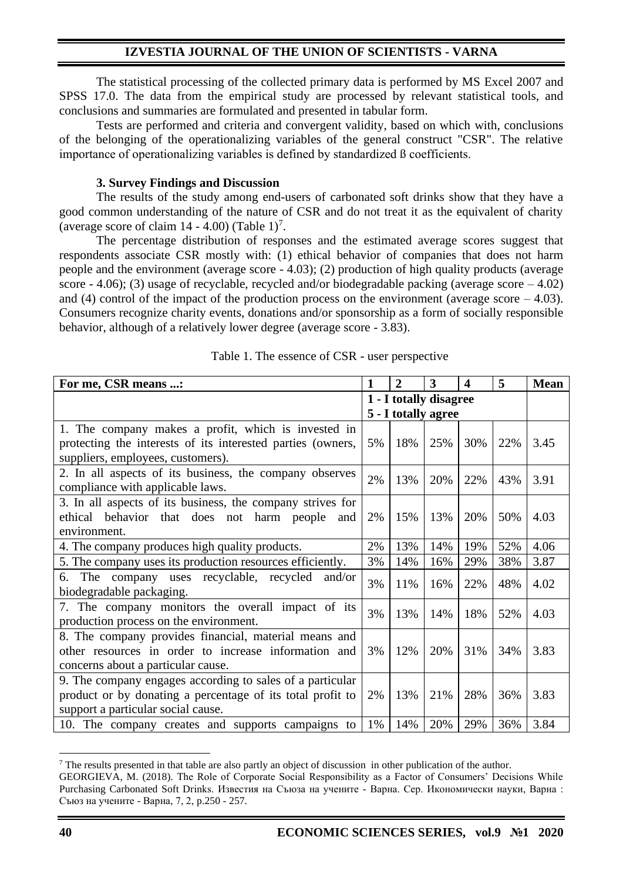The statistical processing of the collected primary data is performed by MS Excel 2007 and SPSS 17.0. The data from the empirical study are processed by relevant statistical tools, and conclusions and summaries are formulated and presented in tabular form.

Tests are performed and criteria and convergent validity, based on which with, conclusions of the belonging of the operationalizing variables of the general construct "CSR". The relative importance of operationalizing variables is defined by standardized ß coefficients.

### **3. Survey Findings and Discussion**

The results of the study among end-users of carbonated soft drinks show that they have a good common understanding of the nature of CSR and do not treat it as the equivalent of charity (average score of claim  $14 - 4.00$ ) (Table  $1$ <sup>7</sup>.

The percentage distribution of responses and the estimated average scores suggest that respondents associate CSR mostly with: (1) ethical behavior of companies that does not harm people and the environment (average score - 4.03); (2) production of high quality products (average score - 4.06); (3) usage of recyclable, recycled and/or biodegradable packing (average score  $-4.02$ ) and (4) control of the impact of the production process on the environment (average score  $-4.03$ ). Consumers recognize charity events, donations and/or sponsorship as a form of socially responsible behavior, although of a relatively lower degree (average score - 3.83).

| For me, CSR means :                                         | 1                      | $\overline{2}$      | 3   | 4   | 5   | <b>Mean</b> |
|-------------------------------------------------------------|------------------------|---------------------|-----|-----|-----|-------------|
|                                                             | 1 - I totally disagree |                     |     |     |     |             |
|                                                             |                        | 5 - I totally agree |     |     |     |             |
| 1. The company makes a profit, which is invested in         |                        |                     |     |     |     |             |
| protecting the interests of its interested parties (owners, | 5%                     | 18%                 | 25% | 30% | 22% | 3.45        |
| suppliers, employees, customers).                           |                        |                     |     |     |     |             |
| 2. In all aspects of its business, the company observes     | 2%                     | 13%                 | 20% | 22% | 43% | 3.91        |
| compliance with applicable laws.                            |                        |                     |     |     |     |             |
| 3. In all aspects of its business, the company strives for  |                        |                     |     |     |     |             |
| ethical behavior that does not harm people<br>and           | 2%                     | 15%                 | 13% | 20% | 50% | 4.03        |
| environment.                                                |                        |                     |     |     |     |             |
| 4. The company produces high quality products.              | 2%                     | 13%                 | 14% | 19% | 52% | 4.06        |
| 5. The company uses its production resources efficiently.   | 3%                     | 14%                 | 16% | 29% | 38% | 3.87        |
| 6. The company uses recyclable, recycled<br>and/or          | 3%                     |                     |     |     |     |             |
| biodegradable packaging.                                    |                        | 11%                 | 16% | 22% | 48% | 4.02        |
| 7. The company monitors the overall impact of its           | 3%                     |                     |     |     |     |             |
| production process on the environment.                      |                        | 13%                 | 14% | 18% | 52% | 4.03        |
| 8. The company provides financial, material means and       |                        |                     |     |     |     |             |
| other resources in order to increase information and        | 3%                     | 12%                 | 20% | 31% | 34% | 3.83        |
| concerns about a particular cause.                          |                        |                     |     |     |     |             |
| 9. The company engages according to sales of a particular   |                        |                     |     |     |     |             |
| product or by donating a percentage of its total profit to  | 2%                     | 13%                 | 21% | 28% | 36% | 3.83        |
| support a particular social cause.                          |                        |                     |     |     |     |             |
| 10. The company creates and supports campaigns to           | 1%                     | 14%                 | 20% | 29% | 36% | 3.84        |

| Table 1. The essence of CSR - user perspective |  |  |
|------------------------------------------------|--|--|
|                                                |  |  |

<sup>&</sup>lt;sup>7</sup> The results presented in that table are also partly an object of discussion in other publication of the author.

GEORGIEVA, M. (2018). The Role of Corporate Social Responsibility as a Factor of Consumers' Decisions While Purchasing Carbonated Soft Drinks. Известия на Съюза на учените - Варна. Сер. Икономически науки, Варна : Съюз на учените - Варна, 7, 2, p.250 - 257.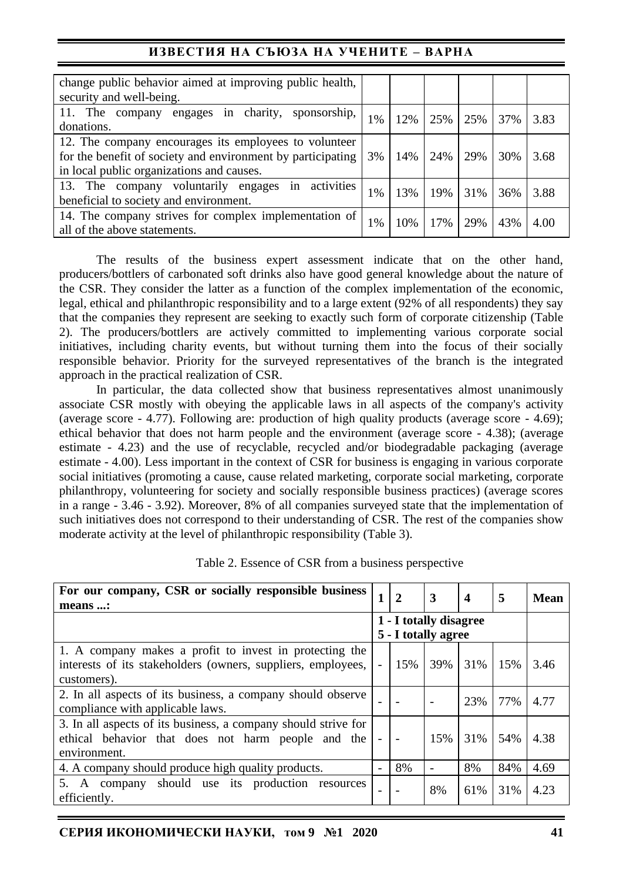# **ИЗВЕСТИЯ НА СЪЮЗА НА УЧЕНИТЕ – ВАРНА**

| change public behavior aimed at improving public health,    |    |     |     |     |     |      |
|-------------------------------------------------------------|----|-----|-----|-----|-----|------|
| security and well-being.                                    |    |     |     |     |     |      |
| engages in charity,<br>11. The<br>sponsorship,<br>company   |    | 12% | 25% | 25% | 37% | 3.83 |
| donations.                                                  | 1% |     |     |     |     |      |
| 12. The company encourages its employees to volunteer       |    |     |     |     |     |      |
| for the benefit of society and environment by participating | 3% | 14% | 24% | 29% | 30% | 3.68 |
| in local public organizations and causes.                   |    |     |     |     |     |      |
| activities<br>in<br>13. The company voluntarily engages     | 1% | 13% | 19% | 31% | 36% | 3.88 |
| beneficial to society and environment.                      |    |     |     |     |     |      |
| 14. The company strives for complex implementation of       |    |     |     |     |     |      |
| all of the above statements.                                | 1% | 10% | 17% | 29% | 43% | 4.00 |

The results of the business expert assessment indicate that on the other hand, producers/bottlers of carbonated soft drinks also have good general knowledge about the nature of the CSR. They consider the latter as a function of the complex implementation of the economic, legal, ethical and philanthropic responsibility and to a large extent (92% of all respondents) they say that the companies they represent are seeking to exactly such form of corporate citizenship (Table 2). The producers/bottlers are actively committed to implementing various corporate social initiatives, including charity events, but without turning them into the focus of their socially responsible behavior. Priority for the surveyed representatives of the branch is the integrated approach in the practical realization of CSR.

In particular, the data collected show that business representatives almost unanimously associate CSR mostly with obeying the applicable laws in all aspects of the company's activity (average score - 4.77). Following are: production of high quality products (average score - 4.69); ethical behavior that does not harm people and the environment (average score - 4.38); (average estimate - 4.23) and the use of recyclable, recycled and/or biodegradable packaging (average estimate - 4.00). Less important in the context of CSR for business is engaging in various corporate social initiatives (promoting a cause, cause related marketing, corporate social marketing, corporate philanthropy, volunteering for society and socially responsible business practices) (average scores in a range - 3.46 - 3.92). Moreover, 8% of all companies surveyed state that the implementation of such initiatives does not correspond to their understanding of CSR. The rest of the companies show moderate activity at the level of philanthropic responsibility (Table 3).

| For our company, CSR or socially responsible business          | $\mathbf{1}$             | $\mathbf{2}$ | 3                      | $\boldsymbol{4}$ | 5   | <b>Mean</b> |
|----------------------------------------------------------------|--------------------------|--------------|------------------------|------------------|-----|-------------|
| means :                                                        |                          |              |                        |                  |     |             |
|                                                                |                          |              | 1 - I totally disagree |                  |     |             |
|                                                                |                          |              | 5 - I totally agree    |                  |     |             |
| 1. A company makes a profit to invest in protecting the        |                          |              |                        |                  |     |             |
| interests of its stakeholders (owners, suppliers, employees,   | $\overline{\phantom{0}}$ | 15%          | 39%                    | 31%              | 15% | 3.46        |
| customers).                                                    |                          |              |                        |                  |     |             |
| 2. In all aspects of its business, a company should observe    |                          |              |                        | 23%              | 77% | 4.77        |
| compliance with applicable laws.                               |                          |              |                        |                  |     |             |
| 3. In all aspects of its business, a company should strive for |                          |              |                        |                  |     |             |
| ethical behavior that does not harm people and the             |                          |              | 15%                    | 31%              | 54% | 4.38        |
| environment.                                                   |                          |              |                        |                  |     |             |
| 4. A company should produce high quality products.             |                          | 8%           |                        | 8%               | 84% | 4.69        |
| 5. A company should use its production<br>resources            |                          |              | 8%                     |                  | 31% | 4.23        |
| efficiently.                                                   |                          |              |                        | 61%              |     |             |

Table 2. Essence of CSR from a business perspective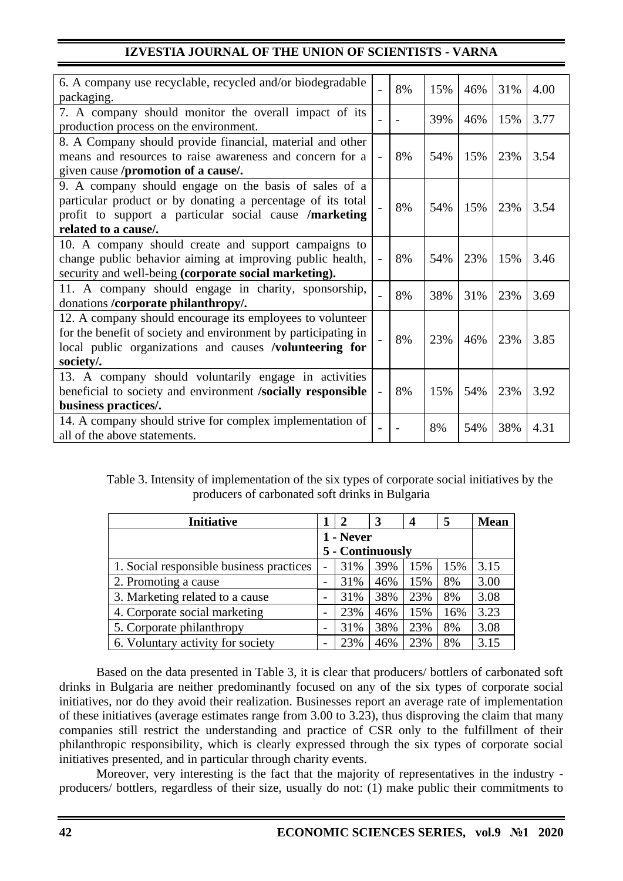| 6. A company use recyclable, recycled and/or biodegradable<br>packaging.                        |                | 8% | 15% | 46% | 31% | 4.00 |
|-------------------------------------------------------------------------------------------------|----------------|----|-----|-----|-----|------|
| 7. A company should monitor the overall impact of its<br>production process on the environment. |                |    | 39% | 46% | 15% | 3.77 |
| 8. A Company should provide financial, material and other                                       |                |    |     |     |     |      |
|                                                                                                 |                |    |     |     |     |      |
| means and resources to raise awareness and concern for a                                        | $\overline{a}$ | 8% | 54% | 15% | 23% | 3.54 |
| given cause /promotion of a cause/.                                                             |                |    |     |     |     |      |
| 9. A company should engage on the basis of sales of a                                           |                |    |     |     |     |      |
| particular product or by donating a percentage of its total                                     |                | 8% |     |     | 23% |      |
| profit to support a particular social cause /marketing                                          |                |    | 54% | 15% |     | 3.54 |
| related to a cause.                                                                             |                |    |     |     |     |      |
| 10. A company should create and support campaigns to                                            |                |    |     |     |     |      |
| change public behavior aiming at improving public health,                                       | $\overline{a}$ | 8% | 54% | 23% | 15% | 3.46 |
| security and well-being (corporate social marketing).                                           |                |    |     |     |     |      |
| 11. A company should engage in charity, sponsorship,                                            |                |    |     |     |     |      |
| donations / corporate philanthropy/.                                                            |                | 8% | 38% | 31% | 23% | 3.69 |
| 12. A company should encourage its employees to volunteer                                       |                |    |     |     |     |      |
| for the benefit of society and environment by participating in                                  |                |    |     |     |     |      |
| local public organizations and causes /volunteering for                                         |                | 8% | 23% | 46% | 23% | 3.85 |
| society/.                                                                                       |                |    |     |     |     |      |
|                                                                                                 |                |    |     |     |     |      |
| 13. A company should voluntarily engage in activities                                           |                |    |     |     |     |      |
| beneficial to society and environment /socially responsible                                     | $\overline{a}$ | 8% | 15% | 54% | 23% | 3.92 |
| business practices/.                                                                            |                |    |     |     |     |      |
| 14. A company should strive for complex implementation of                                       |                |    | 8%  | 54% | 38% | 4.31 |
| all of the above statements.                                                                    |                |    |     |     |     |      |

Table 3. Intensity of implementation of the six types of corporate social initiatives by the producers of carbonated soft drinks in Bulgaria

| <b>Initiative</b>                        |                | 2                | 3   | $\boldsymbol{4}$ | 5   | <b>Mean</b> |
|------------------------------------------|----------------|------------------|-----|------------------|-----|-------------|
|                                          |                | 1 - Never        |     |                  |     |             |
|                                          |                | 5 - Continuously |     |                  |     |             |
| 1. Social responsible business practices | $\overline{a}$ | 31%              | 39% | 15%              | 15% | 3.15        |
| 2. Promoting a cause                     | -              | 31%              | 46% | 15%              | 8%  | 3.00        |
| 3. Marketing related to a cause          | $\overline{ }$ | 31%              | 38% | 23%              | 8%  | 3.08        |
| 4. Corporate social marketing            | -              | 23%              | 46% | 15%              | 16% | 3.23        |
| 5. Corporate philanthropy                | -              | 31%              | 38% | 23%              | 8%  | 3.08        |
| 6. Voluntary activity for society        | -              | 23%              | 46% | 23%              | 8%  | 3.15        |

Based on the data presented in Table 3, it is clear that producers/ bottlers of carbonated soft drinks in Bulgaria are neither predominantly focused on any of the six types of corporate social initiatives, nor do they avoid their realization. Businesses report an average rate of implementation of these initiatives (average estimates range from 3.00 to 3.23), thus disproving the claim that many companies still restrict the understanding and practice of CSR only to the fulfillment of their philanthropic responsibility, which is clearly expressed through the six types of corporate social initiatives presented, and in particular through charity events.

Moreover, very interesting is the fact that the majority of representatives in the industry producers/ bottlers, regardless of their size, usually do not: (1) make public their commitments to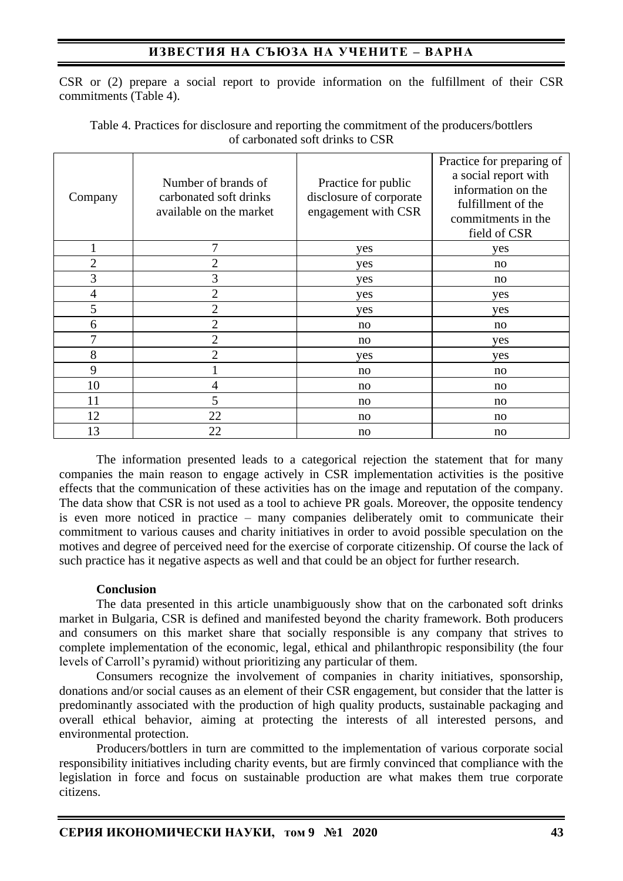# **ИЗВЕСТИЯ НА СЪЮЗА НА УЧЕНИТЕ – ВАРНА**

CSR or (2) prepare a social report to provide information on the fulfillment of their CSR commitments (Table 4).

| Company        | Number of brands of<br>carbonated soft drinks<br>available on the market | Practice for public<br>disclosure of corporate<br>engagement with CSR | Practice for preparing of<br>a social report with<br>information on the<br>fulfillment of the<br>commitments in the<br>field of CSR |
|----------------|--------------------------------------------------------------------------|-----------------------------------------------------------------------|-------------------------------------------------------------------------------------------------------------------------------------|
|                | 7                                                                        | yes                                                                   | yes                                                                                                                                 |
| $\overline{2}$ | $\overline{2}$                                                           | yes                                                                   | no                                                                                                                                  |
| 3              | 3                                                                        | yes                                                                   | no                                                                                                                                  |
| 4              | $\overline{2}$                                                           | yes                                                                   | yes                                                                                                                                 |
| 5              | 2                                                                        | yes                                                                   | yes                                                                                                                                 |
| 6              | $\overline{2}$                                                           | no                                                                    | no                                                                                                                                  |
| 7              | $\overline{2}$                                                           | no                                                                    | yes                                                                                                                                 |
| 8              | $\overline{2}$                                                           | yes                                                                   | yes                                                                                                                                 |
| 9              |                                                                          | no                                                                    | no                                                                                                                                  |
| 10             | 4                                                                        | no                                                                    | no                                                                                                                                  |
| 11             | 5                                                                        | no                                                                    | no                                                                                                                                  |
| 12             | 22                                                                       | no                                                                    | no                                                                                                                                  |
| 13             | 22                                                                       | no                                                                    | no                                                                                                                                  |

Table 4. Practices for disclosure and reporting the commitment of the producers/bottlers of carbonated soft drinks to CSR

The information presented leads to a categorical rejection the statement that for many companies the main reason to engage actively in CSR implementation activities is the positive effects that the communication of these activities has on the image and reputation of the company. The data show that CSR is not used as a tool to achieve PR goals. Moreover, the opposite tendency is even more noticed in practice – many companies deliberately omit to communicate their commitment to various causes and charity initiatives in order to avoid possible speculation on the motives and degree of perceived need for the exercise of corporate citizenship. Of course the lack of such practice has it negative aspects as well and that could be an object for further research.

### **Conclusion**

The data presented in this article unambiguously show that on the carbonated soft drinks market in Bulgaria, CSR is defined and manifested beyond the charity framework. Both producers and consumers on this market share that socially responsible is any company that strives to complete implementation of the economic, legal, ethical and philanthropic responsibility (the four levels of Carroll's pyramid) without prioritizing any particular of them.

Consumers recognize the involvement of companies in charity initiatives, sponsorship, donations and/or social causes as an element of their CSR engagement, but consider that the latter is predominantly associated with the production of high quality products, sustainable packaging and overall ethical behavior, aiming at protecting the interests of all interested persons, and environmental protection.

Producers/bottlers in turn are committed to the implementation of various corporate social responsibility initiatives including charity events, but are firmly convinced that compliance with the legislation in force and focus on sustainable production are what makes them true corporate citizens.